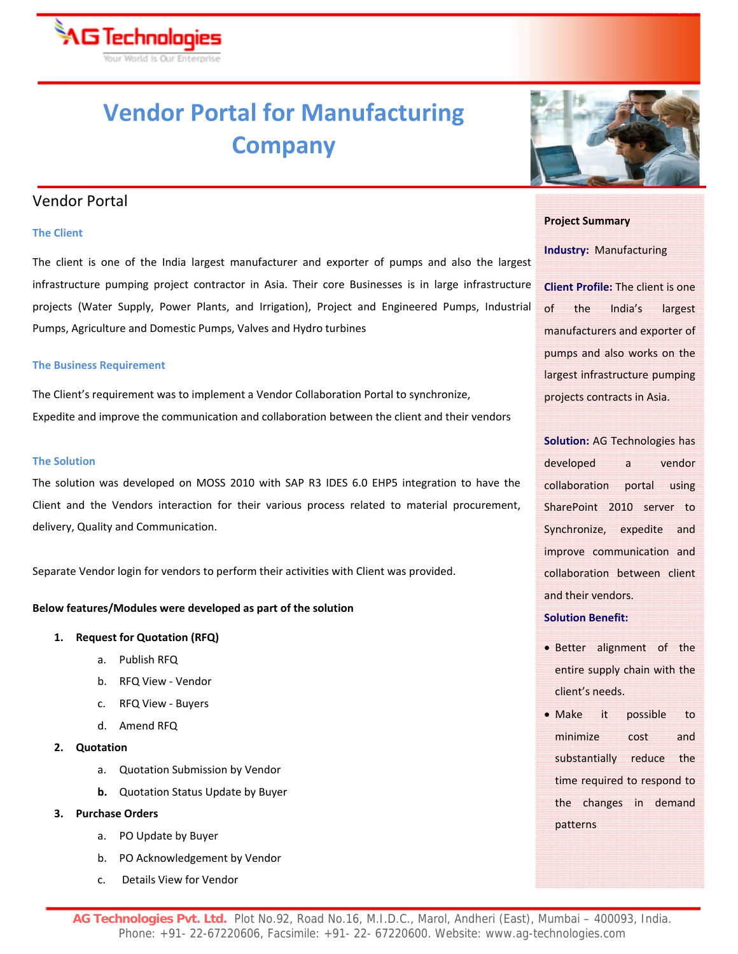

## **Vendor Portal for Manufacturing Company**

### Vendor Portal

#### $\bf{a}$  The Client  $\bf{b}$  is a set of  $\bf{b}$  is a set of  $\bf{c}$  is a set of  $\bf{c}$  is a set of  $\bf{c}$  is a set of  $\bf{c}$  is a set of  $\bf{c}$  is a set of  $\bf{c}$  is a set of  $\bf{c}$  is a set of  $\bf{c}$  is a set of  $\$

The client is one of the India largest manufacturer and exporter of pumps and also the largest infrastructure pumping project contractor in Asia. Their core Businesses is in large infrastructure projects (Water Supply, Power Plants, and Irrigation), Project and Engineered Pumps, Industrial Pumps, Agriculture and Domestic Pumps, Valves and Hydro turbines

#### **The Business Requirement**

The Client's requirement was to implement a Vendor Collaboration Portal to synchronize, Expedite and improve the communication and collaboration between the client and their vendors

#### **The Solution**

The solution was developed on MOSS 2010 with SAP R3 IDES 6.0 EHP5 integration to have the Client and the Vendors interaction for their various process related to material procurement, delivery, Quality and Communication.

Separate Vendor login for vendors to perform their activities with Client was provided.

#### **Below features/Modules were developed as part of the solution**

#### **1. Request for Quotation (RFQ)**

- a. Publish RFQ
- b. RFQ View ‐ Vendor
- c. RFQ View ‐ Buyers
- d. Amend RFQ

#### **2. Quotation**

- a. Quotation Submission by Vendor
- **b.** Quotation Status Update by Buyer

#### **3. Purchase Orders**

- a. PO Update by Buyer
- b. PO Acknowledgement by Vendor
- c. Details View for Vendor



#### **Project Summary**

#### **Industry:** Manufacturing

**Client Profile:** The client is one of the India's largest manufacturers and exporter of pumps and also works on the largest infrastructure pumping projects contracts in Asia.

**Solution:** AG Technologies has developed a vendor collaboration portal using SharePoint 2010 server to Synchronize, expedite and improve communication and collaboration between client and their vendors.

#### **Solution Benefit:**

- Better alignment of the entire supply chain with the client's needs.
- Make it possible to minimize cost and substantially reduce the time required to respond to the changes in demand patterns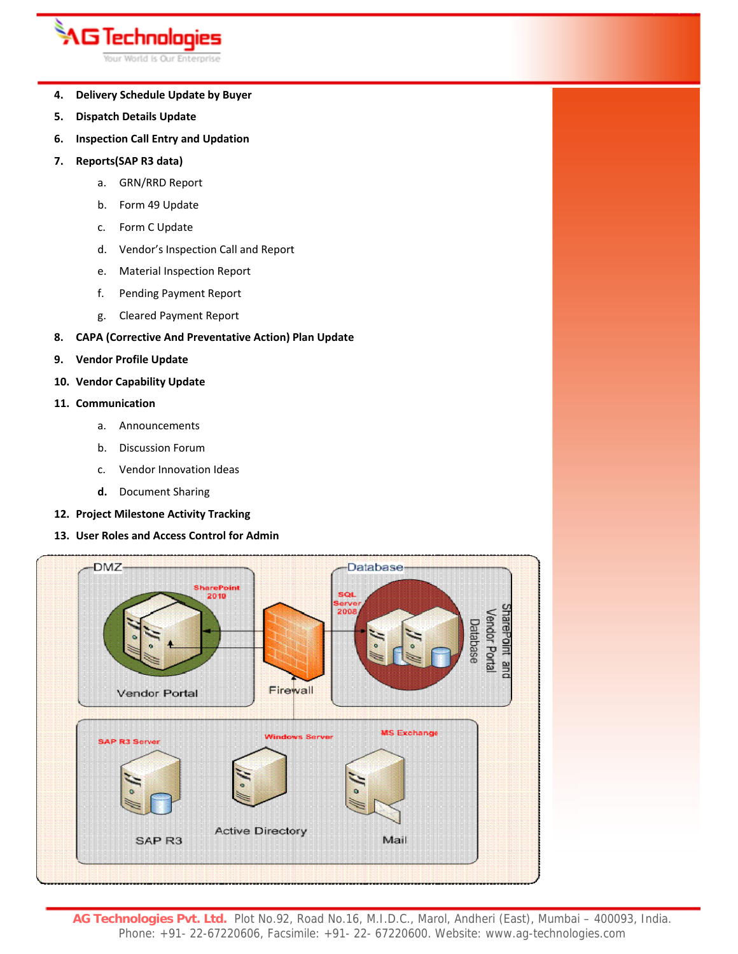# **AG Technologies**

Your World is Our Enterprise

- **4. Delivery Schedule Update by Buyer**
- **5. Dispatch Details Update**
- **6. Inspection Call Entry and Updation**
- **7. Reports(SAP R3 data)**
	- a. GRN/RRD Report
	- b. Form 49 Update
	- c. Form C Update
	- d. Vendor's Inspection Call and Report
	- e. Material Inspection Report
	- f. Pending Payment Report
	- g. Cleared Payment Report
- **8. CAPA (Corrective And Preventative Action) Plan Update**
- **9. Vendor Profile Update**
- **10. Vendor Capability Update**
- **11. Communication**
	- a. Announcements
	- b. Discussion Forum
	- c. Vendor Innovation Ideas
	- **d.** Document Sharing
- **12. Project Milestone Activity Tracking**
- **13. User Roles and Access Control for Admin**